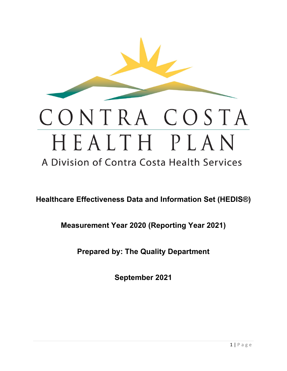

# CONTRA COSTA HEALTH PLAN

A Division of Contra Costa Health Services

**Healthcare Effectiveness Data and Information Set (HEDIS®)** 

**Measurement Year 2020 (Reporting Year 2021)**

**Prepared by: The Quality Department**

**September 2021**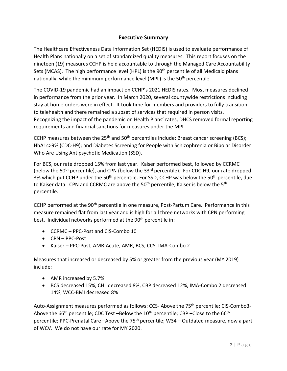## **Executive Summary**

The Healthcare Effectiveness Data Information Set (HEDIS) is used to evaluate performance of Health Plans nationally on a set of standardized quality measures. This report focuses on the nineteen (19) measures CCHP is held accountable to through the Managed Care Accountability Sets (MCAS). The high performance level (HPL) is the 90<sup>th</sup> percentile of all Medicaid plans nationally, while the minimum performance level (MPL) is the 50<sup>th</sup> percentile.

The COVID-19 pandemic had an impact on CCHP's 2021 HEDIS rates. Most measures declined in performance from the prior year. In March 2020, several countywide restrictions including stay at home orders were in effect. It took time for members and providers to fully transition to telehealth and there remained a subset of services that required in person visits. Recognizing the impact of the pandemic on Health Plans' rates, DHCS removed formal reporting requirements and financial sanctions for measures under the MPL.

CCHP measures between the 25<sup>th</sup> and 50<sup>th</sup> percentiles include: Breast cancer screening (BCS); HbA1c>9% (CDC-H9); and Diabetes Screening for People with Schizophrenia or Bipolar Disorder Who Are Using Antipsychotic Medication (SSD).

For BCS, our rate dropped 15% from last year. Kaiser performed best, followed by CCRMC (below the 50<sup>th</sup> percentile), and CPN (below the 33<sup>rd</sup> percentile). For CDC-H9, our rate dropped 3% which put CCHP under the 50<sup>th</sup> percentile. For SSD, CCHP was below the 50<sup>th</sup> percentile, due to Kaiser data. CPN and CCRMC are above the  $50<sup>th</sup>$  percentile, Kaiser is below the  $5<sup>th</sup>$ percentile.

CCHP performed at the 90th percentile in one measure, Post-Partum Care. Performance in this measure remained flat from last year and is high for all three networks with CPN performing best. Individual networks performed at the 90<sup>th</sup> percentile in:

- CCRMC PPC-Post and CIS-Combo 10
- CPN PPC-Post
- Kaiser PPC-Post, AMR-Acute, AMR, BCS, CCS, IMA-Combo 2

Measures that increased or decreased by 5% or greater from the previous year (MY 2019) include:

- AMR increased by 5.7%
- BCS decreased 15%, CHL decreased 8%, CBP decreased 12%, IMA-Combo 2 decreased 14%, WCC-BMI decreased 8%

Auto-Assignment measures performed as follows: CCS- Above the 75<sup>th</sup> percentile; CIS-Combo3-Above the  $66<sup>th</sup>$  percentile; CDC Test –Below the  $10<sup>th</sup>$  percentile; CBP –Close to the  $66<sup>th</sup>$ percentile; PPC-Prenatal Care –Above the 75<sup>th</sup> percentile; W34 – Outdated measure, now a part of WCV. We do not have our rate for MY 2020.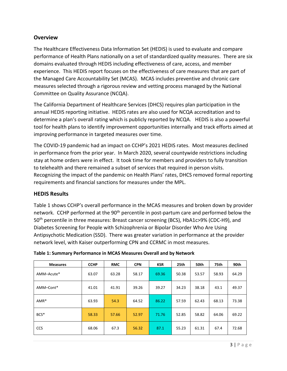#### **Overview**

The Healthcare Effectiveness Data Information Set (HEDIS) is used to evaluate and compare performance of Health Plans nationally on a set of standardized quality measures. There are six domains evaluated through HEDIS including effectiveness of care, access, and member experience. This HEDIS report focuses on the effectiveness of care measures that are part of the Managed Care Accountability Set (MCAS). MCAS includes preventive and chronic care measures selected through a rigorous review and vetting process managed by the National Committee on Quality Assurance (NCQA).

The California Department of Healthcare Services (DHCS) requires plan participation in the annual HEDIS reporting initiative. HEDIS rates are also used for NCQA accreditation and to determine a plan's overall rating which is publicly reported by NCQA. HEDIS is also a powerful tool for health plans to identify improvement opportunities internally and track efforts aimed at improving performance in targeted measures over time.

The COVID-19 pandemic had an impact on CCHP's 2021 HEDIS rates. Most measures declined in performance from the prior year. In March 2020, several countywide restrictions including stay at home orders were in effect. It took time for members and providers to fully transition to telehealth and there remained a subset of services that required in person visits. Recognizing the impact of the pandemic on Health Plans' rates, DHCS removed formal reporting requirements and financial sanctions for measures under the MPL.

#### **HEDIS Results**

Table 1 shows CCHP's overall performance in the MCAS measures and broken down by provider network. CCHP performed at the 90<sup>th</sup> percentile in post-partum care and performed below the 50<sup>th</sup> percentile in three measures: Breast cancer screening (BCS), HbA1c>9% (CDC-H9), and Diabetes Screening for People with Schizophrenia or Bipolar Disorder Who Are Using Antipsychotic Medication (SSD). There was greater variation in performance at the provider network level, with Kaiser outperforming CPN and CCRMC in most measures.

| <b>Measures</b> | <b>CCHP</b> | <b>RMC</b> | <b>CPN</b> | <b>KSR</b> | 25th  | 50th  | 75th  | 90th  |
|-----------------|-------------|------------|------------|------------|-------|-------|-------|-------|
| AMM-Acute*      | 63.07       | 63.28      | 58.17      | 69.36      | 50.38 | 53.57 | 58.93 | 64.29 |
| AMM-Cont*       | 41.01       | 41.91      | 39.26      | 39.27      | 34.23 | 38.18 | 43.1  | 49.37 |
| $AMR*$          | 63.93       | 54.3       | 64.52      | 86.22      | 57.59 | 62.43 | 68.13 | 73.38 |
| BCS*            | 58.33       | 57.66      | 52.97      | 71.76      | 52.85 | 58.82 | 64.06 | 69.22 |
| <b>CCS</b>      | 68.06       | 67.3       | 56.32      | 87.1       | 55.23 | 61.31 | 67.4  | 72.68 |

| Table 1: Summary Performance in MCAS Measures Overall and by Network |  |  |
|----------------------------------------------------------------------|--|--|
|                                                                      |  |  |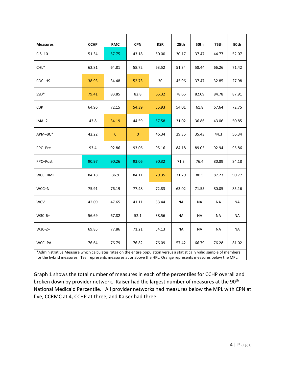| <b>Measures</b> | <b>CCHP</b> | <b>RMC</b>   | <b>CPN</b>   | <b>KSR</b> | 25th  | 50th  | 75th  | 90th      |
|-----------------|-------------|--------------|--------------|------------|-------|-------|-------|-----------|
| $CIS-10$        | 51.34       | 57.75        | 43.18        | 50.00      | 30.17 | 37.47 | 44.77 | 52.07     |
| $CHL^*$         | 62.81       | 64.81        | 58.72        | 63.52      | 51.34 | 58.44 | 66.26 | 71.42     |
| CDC-H9          | 38.93       | 34.48        | 52.73        | 30         | 45.96 | 37.47 | 32.85 | 27.98     |
| SSD*            | 79.41       | 83.85        | 82.8         | 65.32      | 78.65 | 82.09 | 84.78 | 87.91     |
| <b>CBP</b>      | 64.96       | 72.15        | 54.39        | 55.93      | 54.01 | 61.8  | 67.64 | 72.75     |
| $IMA-2$         | 43.8        | 34.19        | 44.59        | 57.58      | 31.02 | 36.86 | 43.06 | 50.85     |
| APM-BC*         | 42.22       | $\mathbf{0}$ | $\mathbf{0}$ | 46.34      | 29.35 | 35.43 | 44.3  | 56.34     |
| PPC-Pre         | 93.4        | 92.86        | 93.06        | 95.16      | 84.18 | 89.05 | 92.94 | 95.86     |
| PPC-Post        | 90.97       | 90.26        | 93.06        | 90.32      | 71.3  | 76.4  | 80.89 | 84.18     |
| WCC-BMI         | 84.18       | 86.9         | 84.11        | 79.35      | 71.29 | 80.5  | 87.23 | 90.77     |
| WCC-N           | 75.91       | 76.19        | 77.48        | 72.83      | 63.02 | 71.55 | 80.05 | 85.16     |
| <b>WCV</b>      | 42.09       | 47.65        | 41.11        | 33.44      | NA    | NA    | NA    | <b>NA</b> |
| $W30-6+$        | 56.69       | 67.82        | 52.1         | 38.56      | NA    | NA    | NA    | NA        |
| $W30-2+$        | 69.85       | 77.86        | 71.21        | 54.13      | NA    | NА    | NА    | NA        |
| WCC-PA          | 76.64       | 76.79        | 76.82        | 76.09      | 57.42 | 66.79 | 76.28 | 81.02     |

\*Administrative Measure which calculates rates on the entire population versus a statistically valid sample of members for the hybrid measures. Teal represents measures at or above the HPL. Orange represents measures below the MPL.

Graph 1 shows the total number of measures in each of the percentiles for CCHP overall and broken down by provider network. Kaiser had the largest number of measures at the 90<sup>th</sup> National Medicaid Percentile. All provider networks had measures below the MPL with CPN at five, CCRMC at 4, CCHP at three, and Kaiser had three.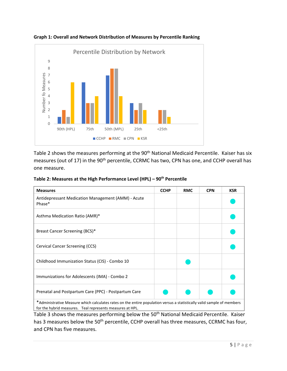

**Graph 1: Overall and Network Distribution of Measures by Percentile Ranking** 

Table 2 shows the measures performing at the 90<sup>th</sup> National Medicaid Percentile. Kaiser has six measures (out of 17) in the 90<sup>th</sup> percentile, CCRMC has two, CPN has one, and CCHP overall has one measure.

| Table 2: Measures at the High Performance Level (HPL) - $90th$ Percentile |  |
|---------------------------------------------------------------------------|--|
|---------------------------------------------------------------------------|--|

| <b>Measures</b>                                                                                                                                                                     | <b>CCHP</b> | <b>RMC</b> | <b>CPN</b> | <b>KSR</b> |
|-------------------------------------------------------------------------------------------------------------------------------------------------------------------------------------|-------------|------------|------------|------------|
| Antidepressant Medication Management (AMM) - Acute<br>Phase*                                                                                                                        |             |            |            |            |
| Asthma Medication Ratio (AMR)*                                                                                                                                                      |             |            |            |            |
| Breast Cancer Screening (BCS)*                                                                                                                                                      |             |            |            |            |
| Cervical Cancer Screening (CCS)                                                                                                                                                     |             |            |            |            |
| Childhood Immunization Status (CIS) - Combo 10                                                                                                                                      |             |            |            |            |
| Immunizations for Adolescents (IMA) - Combo 2                                                                                                                                       |             |            |            |            |
| Prenatal and Postpartum Care (PPC) - Postpartum Care                                                                                                                                |             |            |            |            |
| *Administrative Measure which calculates rates on the entire population versus a statistically valid sample of members<br>for the hybrid measures. Teal represents measures at HPL. |             |            |            |            |

Table 3 shows the measures performing below the 50<sup>th</sup> National Medicaid Percentile. Kaiser has 3 measures below the 50<sup>th</sup> percentile, CCHP overall has three measures, CCRMC has four, and CPN has five measures.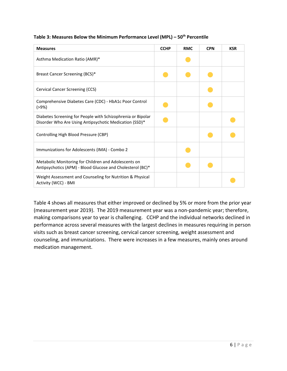| Table 3: Measures Below the Minimum Performance Level (MPL) – 50 <sup>th</sup> Percentile |  |  |
|-------------------------------------------------------------------------------------------|--|--|
|-------------------------------------------------------------------------------------------|--|--|

| <b>Measures</b>                                                                                                       | <b>CCHP</b> | <b>RMC</b> | <b>CPN</b> | <b>KSR</b> |
|-----------------------------------------------------------------------------------------------------------------------|-------------|------------|------------|------------|
| Asthma Medication Ratio (AMR)*                                                                                        |             |            |            |            |
| Breast Cancer Screening (BCS)*                                                                                        |             |            |            |            |
| Cervical Cancer Screening (CCS)                                                                                       |             |            |            |            |
| Comprehensive Diabetes Care (CDC) - HbA1c Poor Control<br>(>9%)                                                       |             |            |            |            |
| Diabetes Screening for People with Schizophrenia or Bipolar<br>Disorder Who Are Using Antipsychotic Medication (SSD)* |             |            |            |            |
| Controlling High Blood Pressure (CBP)                                                                                 |             |            |            |            |
| Immunizations for Adolescents (IMA) - Combo 2                                                                         |             |            |            |            |
| Metabolic Monitoring for Children and Adolescents on<br>Antipsychotics (APM) - Blood Glucose and Cholesterol (BC)*    |             |            |            |            |
| Weight Assessment and Counseling for Nutrition & Physical<br>Activity (WCC) - BMI                                     |             |            |            |            |

Table 4 shows all measures that either improved or declined by 5% or more from the prior year (measurement year 2019). The 2019 measurement year was a non-pandemic year; therefore, making comparisons year to year is challenging. CCHP and the individual networks declined in performance across several measures with the largest declines in measures requiring in person visits such as breast cancer screening, cervical cancer screening, weight assessment and counseling, and immunizations. There were increases in a few measures, mainly ones around medication management.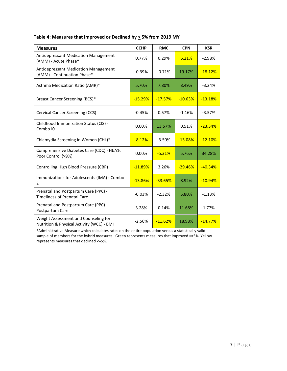| Table 4: Measures that Improved or Declined by $\geq$ 5% from 2019 MY |  |  |  |
|-----------------------------------------------------------------------|--|--|--|
|-----------------------------------------------------------------------|--|--|--|

| <b>Measures</b>                                                                                                                                                                                                                                     | <b>CCHP</b> | <b>RMC</b> | <b>CPN</b> | <b>KSR</b> |  |
|-----------------------------------------------------------------------------------------------------------------------------------------------------------------------------------------------------------------------------------------------------|-------------|------------|------------|------------|--|
| Antidepressant Medication Management<br>(AMM) - Acute Phase*                                                                                                                                                                                        | 0.77%       | 0.29%      | 6.21%      | $-2.98%$   |  |
| Antidepressant Medication Management<br>(AMM) - Continuation Phase*                                                                                                                                                                                 | $-0.39%$    | $-0.71%$   | 19.17%     | $-18.12%$  |  |
| Asthma Medication Ratio (AMR)*                                                                                                                                                                                                                      | 5.70%       | 7.80%      | 8.49%      | $-3.24%$   |  |
| Breast Cancer Screening (BCS)*                                                                                                                                                                                                                      | $-15.29%$   | $-17.57%$  | $-10.63%$  | $-13.18%$  |  |
| Cervical Cancer Screening (CCS)                                                                                                                                                                                                                     | $-0.45%$    | 0.57%      | $-1.16%$   | $-3.57%$   |  |
| Childhood Immunization Status (CIS) -<br>Combo10                                                                                                                                                                                                    | 0.00%       | 13.57%     | 0.51%      | $-23.34%$  |  |
| Chlamydia Screening in Women (CHL)*                                                                                                                                                                                                                 | $-8.12%$    | $-3.50%$   | $-13.08%$  | $-12.10%$  |  |
| Comprehensive Diabetes Care (CDC) - HbA1c<br>Poor Control (>9%)                                                                                                                                                                                     | 0.00%       | $-5.31%$   | 5.76%      | 34.28%     |  |
| Controlling High Blood Pressure (CBP)                                                                                                                                                                                                               | $-11.89%$   | 3.26%      | $-29.46%$  | $-40.34%$  |  |
| Immunizations for Adolescents (IMA) - Combo<br>$\overline{2}$                                                                                                                                                                                       | $-13.86%$   | $-33.65%$  | 8.92%      | $-10.94%$  |  |
| Prenatal and Postpartum Care (PPC) -<br><b>Timeliness of Prenatal Care</b>                                                                                                                                                                          | $-0.03%$    | $-2.32%$   | 5.80%      | $-1.13%$   |  |
| Prenatal and Postpartum Care (PPC) -<br>Postpartum Care                                                                                                                                                                                             | 3.28%       | 0.14%      | 11.68%     | 1.77%      |  |
| Weight Assessment and Counseling for<br>Nutrition & Physical Activity (WCC) - BMI                                                                                                                                                                   | $-2.56%$    | $-11.62%$  | 18.98%     | $-14.77%$  |  |
| *Administrative Measure which calculates rates on the entire population versus a statistically valid<br>sample of members for the hybrid measures. Green represents measures that improved >=5%. Yellow<br>represents measures that declined <= 5%. |             |            |            |            |  |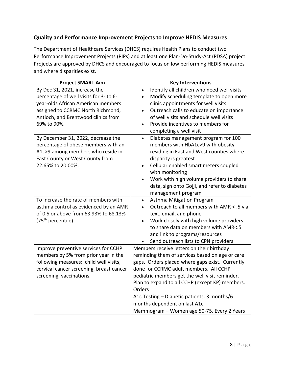## **Quality and Performance Improvement Projects to Improve HEDIS Measures**

The Department of Healthcare Services (DHCS) requires Health Plans to conduct two Performance Improvement Projects (PIPs) and at least one Plan-Do-Study-Act (PDSA) project. Projects are approved by DHCS and encouraged to focus on low performing HEDIS measures and where disparities exist.

| <b>Project SMART Aim</b>                                                                                                                                                                                 | <b>Key Interventions</b>                                                                                                                                                                                                                                                                                                                                                                                                              |
|----------------------------------------------------------------------------------------------------------------------------------------------------------------------------------------------------------|---------------------------------------------------------------------------------------------------------------------------------------------------------------------------------------------------------------------------------------------------------------------------------------------------------------------------------------------------------------------------------------------------------------------------------------|
| By Dec 31, 2021, increase the<br>percentage of well visits for 3- to 6-<br>year-olds African American members<br>assigned to CCRMC North Richmond,<br>Antioch, and Brentwood clinics from<br>69% to 90%. | Identify all children who need well visits<br>$\bullet$<br>Modify scheduling template to open more<br>$\bullet$<br>clinic appointments for well visits<br>Outreach calls to educate on importance<br>$\bullet$<br>of well visits and schedule well visits<br>Provide incentives to members for<br>$\bullet$<br>completing a well visit                                                                                                |
| By December 31, 2022, decrease the<br>percentage of obese members with an<br>A1c>9 among members who reside in<br>East County or West County from<br>22.65% to 20.00%.                                   | Diabetes management program for 100<br>$\bullet$<br>members with HbA1c>9 with obesity<br>residing in East and West counties where<br>disparity is greatest<br>Cellular enabled smart meters coupled<br>$\bullet$<br>with monitoring<br>Work with high volume providers to share<br>data, sign onto Gojji, and refer to diabetes<br>management program                                                                                 |
| To increase the rate of members with<br>asthma control as evidenced by an AMR<br>of 0.5 or above from 63.93% to 68.13%<br>(75 <sup>th</sup> percentile).                                                 | Asthma Mitigation Program<br>$\bullet$<br>Outreach to all members with AMR < .5 via<br>$\bullet$<br>text, email, and phone<br>Work closely with high volume providers<br>$\bullet$<br>to share data on members with AMR<.5<br>and link to programs/resources<br>Send outreach lists to CPN providers                                                                                                                                  |
| Improve preventive services for CCHP<br>members by 5% from prior year in the<br>following measures: child well visits,<br>cervical cancer screening, breast cancer<br>screening, vaccinations.           | Members receive letters on their birthday<br>reminding them of services based on age or care<br>gaps. Orders placed where gaps exist. Currently<br>done for CCRMC adult members. All CCHP<br>pediatric members get the well visit reminder.<br>Plan to expand to all CCHP (except KP) members.<br>Orders<br>A1c Testing - Diabetic patients. 3 months/6<br>months dependent on last A1c<br>Mammogram - Women age 50-75. Every 2 Years |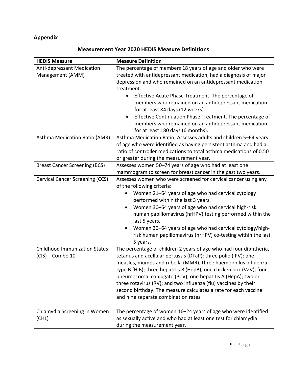# **Appendix**

|  |  | <b>Measurement Year 2020 HEDIS Measure Definitions</b> |
|--|--|--------------------------------------------------------|
|--|--|--------------------------------------------------------|

| <b>HEDIS Measure</b>                                       | <b>Measure Definition</b>                                                                                                                                                                                                                                                                                                                                                                                                                                                                                                  |
|------------------------------------------------------------|----------------------------------------------------------------------------------------------------------------------------------------------------------------------------------------------------------------------------------------------------------------------------------------------------------------------------------------------------------------------------------------------------------------------------------------------------------------------------------------------------------------------------|
| <b>Anti-depressant Medication</b><br>Management (AMM)      | The percentage of members 18 years of age and older who were<br>treated with antidepressant medication, had a diagnosis of major<br>depression and who remained on an antidepressant medication<br>treatment.<br>Effective Acute Phase Treatment. The percentage of<br>$\bullet$                                                                                                                                                                                                                                           |
|                                                            | members who remained on an antidepressant medication<br>for at least 84 days (12 weeks).<br>Effective Continuation Phase Treatment. The percentage of<br>members who remained on an antidepressant medication<br>for at least 180 days (6 months).                                                                                                                                                                                                                                                                         |
| Asthma Medication Ratio (AMR)                              | Asthma Medication Ratio: Assesses adults and children 5-64 years<br>of age who were identified as having persistent asthma and had a<br>ratio of controller medications to total asthma medications of 0.50<br>or greater during the measurement year.                                                                                                                                                                                                                                                                     |
| <b>Breast Cancer Screening (BCS)</b>                       | Assesses women 50-74 years of age who had at least one<br>mammogram to screen for breast cancer in the past two years.                                                                                                                                                                                                                                                                                                                                                                                                     |
| <b>Cervical Cancer Screening (CCS)</b>                     | Assesses women who were screened for cervical cancer using any<br>of the following criteria:<br>Women 21-64 years of age who had cervical cytology<br>performed within the last 3 years.<br>Women 30-64 years of age who had cervical high-risk<br>human papillomavirus (hrHPV) testing performed within the<br>last 5 years.<br>Women 30-64 years of age who had cervical cytology/high-<br>risk human papillomavirus (hrHPV) co-testing within the last<br>5 years.                                                      |
| <b>Childhood Immunization Status</b><br>$(CIS)$ – Combo 10 | The percentage of children 2 years of age who had four diphtheria,<br>tetanus and acellular pertussis (DTaP); three polio (IPV); one<br>measles, mumps and rubella (MMR); three haemophilus influenza<br>type B (HiB); three hepatitis B (HepB), one chicken pox (VZV); four<br>pneumococcal conjugate (PCV); one hepatitis A (HepA); two or<br>three rotavirus (RV); and two influenza (flu) vaccines by their<br>second birthday. The measure calculates a rate for each vaccine<br>and nine separate combination rates. |
| Chlamydia Screening in Women<br>(CHL)                      | The percentage of women 16-24 years of age who were identified<br>as sexually active and who had at least one test for chlamydia<br>during the measurement year.                                                                                                                                                                                                                                                                                                                                                           |